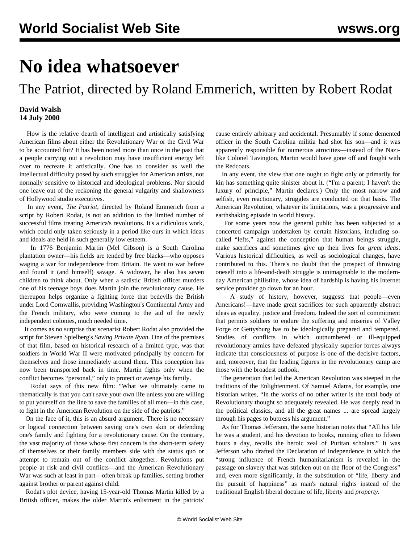## **No idea whatsoever**

The Patriot, directed by Roland Emmerich, written by Robert Rodat

## **David Walsh 14 July 2000**

 How is the relative dearth of intelligent and artistically satisfying American films about either the Revolutionary War or the Civil War to be accounted for? It has been noted more than once in the past that a people carrying out a revolution may have insufficient energy left over to recreate it artistically. One has to consider as well the intellectual difficulty posed by such struggles for American artists, not normally sensitive to historical and ideological problems. Nor should one leave out of the reckoning the general vulgarity and shallowness of Hollywood studio executives.

 In any event, *The Patriot*, directed by Roland Emmerich from a script by Robert Rodat, is not an addition to the limited number of successful films treating America's revolutions. It's a ridiculous work, which could only taken seriously in a period like ours in which ideas and ideals are held in such generally low esteem.

 In 1776 Benjamin Martin (Mel Gibson) is a South Carolina plantation owner—his fields are tended by free blacks—who opposes waging a war for independence from Britain. He went to war before and found it (and himself) savage. A widower, he also has seven children to think about. Only when a sadistic British officer murders one of his teenage boys does Martin join the revolutionary cause. He thereupon helps organize a fighting force that bedevils the British under Lord Cornwallis, providing Washington's Continental Army and the French military, who were coming to the aid of the newly independent colonies, much needed time.

 It comes as no surprise that scenarist Robert Rodat also provided the script for Steven Spielberg's *Saving Private Ryan*. One of the premises of that film, based on historical research of a limited type, was that soldiers in World War II were motivated principally by concern for themselves and those immediately around them. This conception has now been transported back in time. Martin fights only when the conflict becomes "personal," only to protect or avenge his family.

 Rodat says of this new film: "What we ultimately came to thematically is that you can't save your own life unless you are willing to put yourself on the line to save the families of all men—in this case, to fight in the American Revolution on the side of the patriots."

 On the face of it, this is an absurd argument. There is no necessary or logical connection between saving one's own skin or defending one's family and fighting for a revolutionary cause. On the contrary, the vast majority of those whose first concern is the short-term safety of themselves or their family members side with the status quo or attempt to remain out of the conflict altogether. Revolutions put people at risk and civil conflicts—and the American Revolutionary War was such at least in part—often break up families, setting brother against brother or parent against child.

 Rodat's plot device, having 15-year-old Thomas Martin killed by a British officer, makes the older Martin's enlistment in the patriots'

cause entirely arbitrary and accidental. Presumably if some demented officer in the South Carolina militia had shot his son—and it was apparently responsible for numerous atrocities—instead of the Nazilike Colonel Tavington, Martin would have gone off and fought with the Redcoats.

 In any event, the view that one ought to fight only or primarily for kin has something quite sinister about it. ("I'm a parent; I haven't the luxury of principle," Martin declares.) Only the most narrow and selfish, even reactionary, struggles are conducted on that basis. The American Revolution, whatever its limitations, was a progressive and earthshaking episode in world history.

 For some years now the general public has been subjected to a concerted campaign undertaken by certain historians, including socalled "lefts," against the conception that human beings struggle, make sacrifices and sometimes give up their lives for *great ideas*. Various historical difficulties, as well as sociological changes, have contributed to this. There's no doubt that the prospect of throwing oneself into a life-and-death struggle is unimaginable to the modernday American philistine, whose idea of hardship is having his Internet service provider go down for an hour.

 A study of history, however, suggests that people—even Americans!—have made great sacrifices for such apparently abstract ideas as equality, justice and freedom. Indeed the sort of commitment that permits soldiers to endure the suffering and miseries of Valley Forge or Gettysburg has to be ideologically prepared and tempered. Studies of conflicts in which outnumbered or ill-equipped revolutionary armies have defeated physically superior forces always indicate that consciousness of purpose is one of the decisive factors, and, moreover, that the leading figures in the revolutionary camp are those with the broadest outlook.

 The generation that led the American Revolution was steeped in the traditions of the Enlightenment. Of Samuel Adams, for example, one historian writes, "In the works of no other writer is the total body of Revolutionary thought so adequately revealed. He was deeply read in the political classics, and all the great names ... are spread largely through his pages to buttress his argument."

 As for Thomas Jefferson, the same historian notes that "All his life he was a student, and his devotion to books, running often to fifteen hours a day, recalls the heroic zeal of Puritan scholars." It was Jefferson who drafted the Declaration of Independence in which the "strong influence of French humanitarianism is revealed in the passage on slavery that was stricken out on the floor of the Congress" and, even more significantly, in the substitution of "life, liberty and the pursuit of happiness" as man's natural rights instead of the traditional English liberal doctrine of life, liberty and *property*.